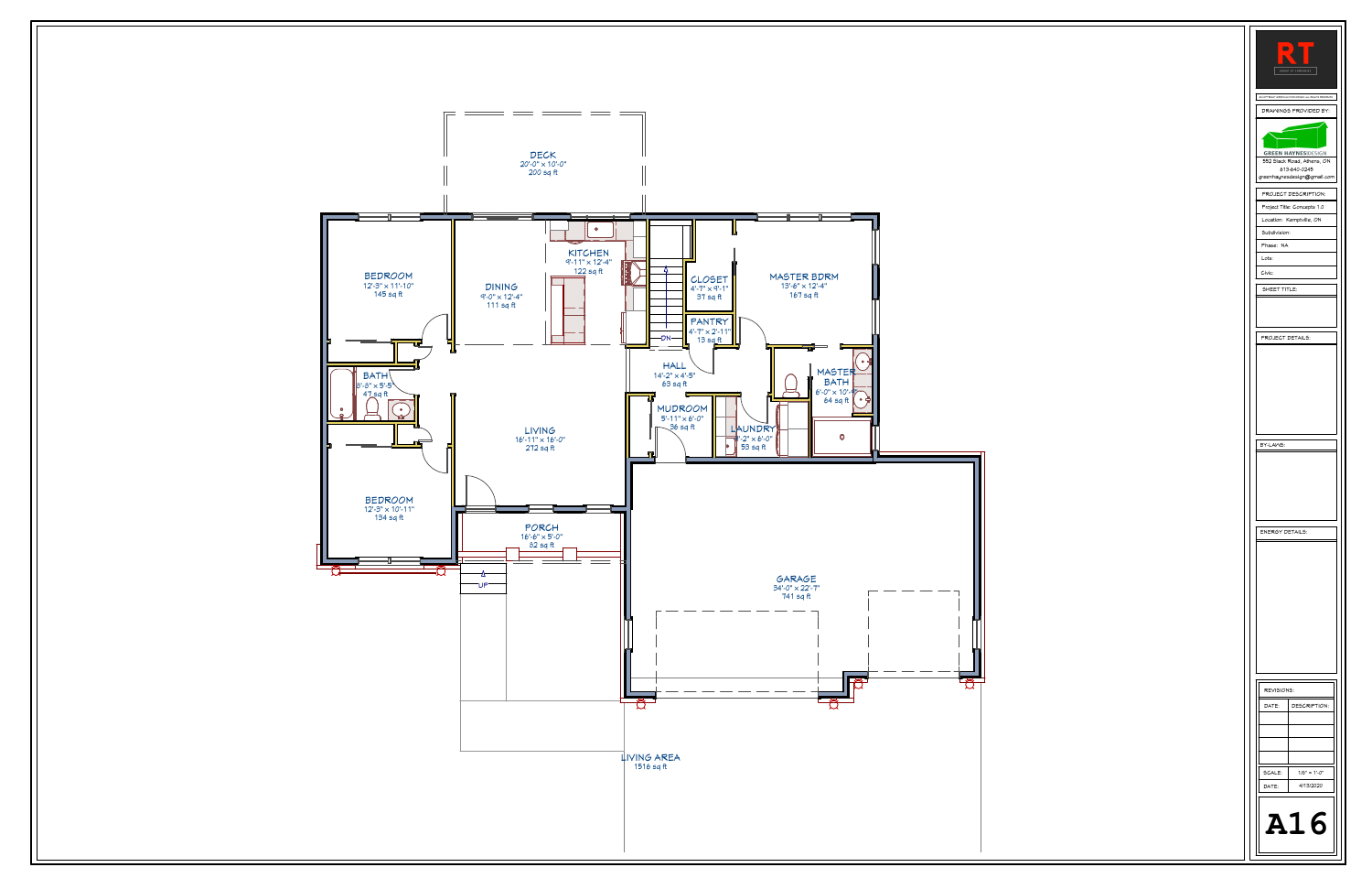| $\qquad \qquad \blacksquare$<br>GROUP OF COMPANIES       |  |  |  |
|----------------------------------------------------------|--|--|--|
|                                                          |  |  |  |
| <b>COPYRIGHT ORDEN HAYNES DESIGN ALL RIGHTS RESERVED</b> |  |  |  |
| DRAMINGS PROVIDED BY:                                    |  |  |  |
|                                                          |  |  |  |
|                                                          |  |  |  |
|                                                          |  |  |  |
| <b>GREEN HAYNES DESIGN</b>                               |  |  |  |
| 552 Slack Road, Athens, ON<br>613-640-0245               |  |  |  |
| greenhaynesdesign@gmail.com                              |  |  |  |
|                                                          |  |  |  |
| PROJECT DESCRIPTION:                                     |  |  |  |
| Project Title: Concepts 1.0                              |  |  |  |
| Location: Kemptville, ON                                 |  |  |  |
| Subdivision:                                             |  |  |  |
| Phase: NA                                                |  |  |  |
|                                                          |  |  |  |
| Lots:                                                    |  |  |  |
| Civic:                                                   |  |  |  |
|                                                          |  |  |  |
| SHEET TITLE:                                             |  |  |  |
|                                                          |  |  |  |
|                                                          |  |  |  |
|                                                          |  |  |  |
| PROJECT DETAILS:                                         |  |  |  |
|                                                          |  |  |  |
|                                                          |  |  |  |
|                                                          |  |  |  |
|                                                          |  |  |  |
|                                                          |  |  |  |
|                                                          |  |  |  |
|                                                          |  |  |  |
|                                                          |  |  |  |
|                                                          |  |  |  |
| BY-LAWS:                                                 |  |  |  |
|                                                          |  |  |  |
|                                                          |  |  |  |
|                                                          |  |  |  |
|                                                          |  |  |  |
|                                                          |  |  |  |
|                                                          |  |  |  |
|                                                          |  |  |  |
|                                                          |  |  |  |
| ENERGY DETAILS:                                          |  |  |  |
|                                                          |  |  |  |
|                                                          |  |  |  |
|                                                          |  |  |  |
|                                                          |  |  |  |
|                                                          |  |  |  |
|                                                          |  |  |  |
|                                                          |  |  |  |
|                                                          |  |  |  |
|                                                          |  |  |  |
|                                                          |  |  |  |
|                                                          |  |  |  |
|                                                          |  |  |  |
|                                                          |  |  |  |
| REVISIONS:                                               |  |  |  |
|                                                          |  |  |  |
| DATE:<br>DESCRIPTION:                                    |  |  |  |
|                                                          |  |  |  |
|                                                          |  |  |  |
|                                                          |  |  |  |
|                                                          |  |  |  |
|                                                          |  |  |  |
| SCALE:<br>$1/8" = 1:-0"$                                 |  |  |  |
|                                                          |  |  |  |
| 4/13/2020<br>DATE:                                       |  |  |  |
|                                                          |  |  |  |
|                                                          |  |  |  |
| ║                                                        |  |  |  |
| A16                                                      |  |  |  |
|                                                          |  |  |  |
|                                                          |  |  |  |
|                                                          |  |  |  |